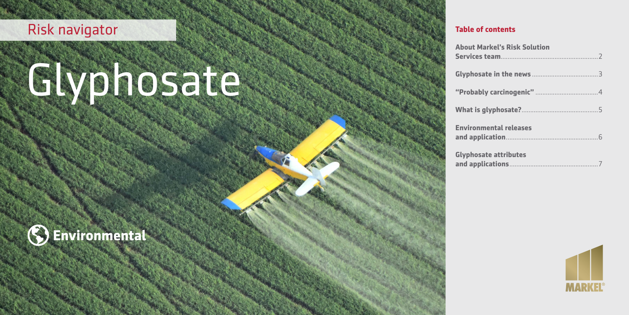## Risk navigator

# Glyphosate



March 2020

| <b>About Markel's Risk Solution</b> |
|-------------------------------------|
|                                     |
|                                     |
|                                     |
| <b>Environmental releases</b>       |
| <b>Glyphosate attributes</b>        |

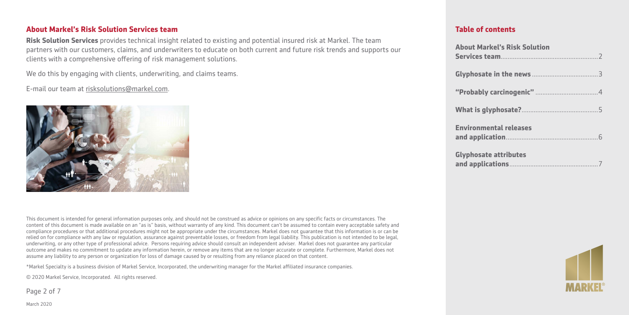#### **About Markel's Risk Solution Services team**

**Risk Solution Services** provides technical insight related to existing and potential insured risk at Markel. The team partners with our customers, claims, and underwriters to educate on both current and future risk trends and supports our clients with a comprehensive offering of risk management solutions.

We do this by engaging with clients, underwriting, and claims teams.

E-mail our team at [risksolutions@markel.com](mailto:risksolutions@markel.com).



This document is intended for general information purposes only, and should not be construed as advice or opinions on any specific facts or circumstances. The content of this document is made available on an "as is" basis, without warranty of any kind. This document can't be assumed to contain every acceptable safety and compliance procedures or that additional procedures might not be appropriate under the circumstances. Markel does not guarantee that this information is or can be relied on for compliance with any law or regulation, assurance against preventable losses, or freedom from legal liability. This publication is not intended to be legal, underwriting, or any other type of professional advice. Persons requiring advice should consult an independent adviser. Markel does not guarantee any particular outcome and makes no commitment to update any information herein, or remove any items that are no longer accurate or complete. Furthermore, Markel does not assume any liability to any person or organization for loss of damage caused by or resulting from any reliance placed on that content.

\*Markel Specialty is a business division of Markel Service, Incorporated, the underwriting manager for the Markel affiliated insurance companies.

© 2020 Markel Service, Incorporated. All rights reserved.

Page 2 of 7

| <b>About Markel's Risk Solution</b> |
|-------------------------------------|
|                                     |
|                                     |
|                                     |
| <b>Environmental releases</b>       |
| <b>Glyphosate attributes</b>        |

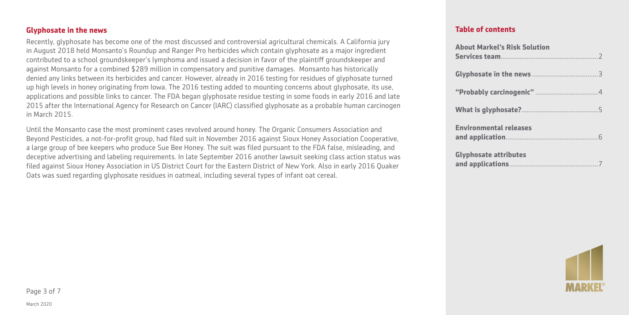#### **Glyphosate in the news**

Recently, glyphosate has become one of the most discussed and controversial agricultural chemicals. A California jury in August 2018 held Monsanto's Roundup and Ranger Pro herbicides which contain glyphosate as a major ingredient contributed to a school groundskeeper's lymphoma and issued a decision in favor of the plaintiff groundskeeper and against Monsanto for a combined \$289 million in compensatory and punitive damages. Monsanto has historically denied any links between its herbicides and cancer. However, already in 2016 testing for residues of glyphosate turned up high levels in honey originating from Iowa. The 2016 testing added to mounting concerns about glyphosate, its use, applications and possible links to cancer. The FDA began glyphosate residue testing in some foods in early 2016 and late 2015 after the International Agency for Research on Cancer (IARC) classified glyphosate as a probable human carcinogen in March 2015.

Until the Monsanto case the most prominent cases revolved around honey. The Organic Consumers Association and Beyond Pesticides, a not-for-profit group, had filed suit in November 2016 against Sioux Honey Association Cooperative, a large group of bee keepers who produce Sue Bee Honey. The suit was filed pursuant to the FDA false, misleading, and deceptive advertising and labeling requirements. In late September 2016 another lawsuit seeking class action status was filed against Sioux Honey Association in US District Court for the Eastern District of New York. Also in early 2016 Quaker Oats was sued regarding glyphosate residues in oatmeal, including several types of infant oat cereal.

| <b>About Markel's Risk Solution</b> |
|-------------------------------------|
|                                     |
|                                     |
|                                     |
| <b>Environmental releases</b>       |
| <b>Glyphosate attributes</b>        |

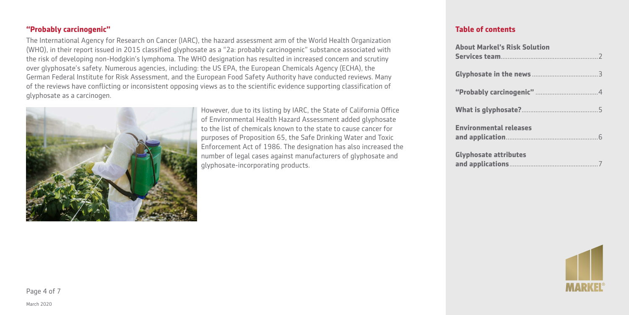#### **"Probably carcinogenic"**

The International Agency for Research on Cancer (IARC), the hazard assessment arm of the World Health Organization (WHO), in their report issued in 2015 classified glyphosate as a "2a: probably carcinogenic" substance associated with the risk of developing non-Hodgkin's lymphoma. The WHO designation has resulted in increased concern and scrutiny over glyphosate's safety. Numerous agencies, including: the US EPA, the European Chemicals Agency (ECHA), the German Federal Institute for Risk Assessment, and the European Food Safety Authority have conducted reviews. Many of the reviews have conflicting or inconsistent opposing views as to the scientific evidence supporting classification of glyphosate as a carcinogen.



However, due to its listing by IARC, the State of California Office of Environmental Health Hazard Assessment added glyphosate to the list of chemicals known to the state to cause cancer for purposes of Proposition 65, the Safe Drinking Water and Toxic Enforcement Act of 1986. The designation has also increased the number of legal cases against manufacturers of glyphosate and glyphosate-incorporating products.

| <b>About Markel's Risk Solution</b> |  |
|-------------------------------------|--|
|                                     |  |
|                                     |  |
|                                     |  |
| <b>Environmental releases</b>       |  |
| <b>Glyphosate attributes</b>        |  |

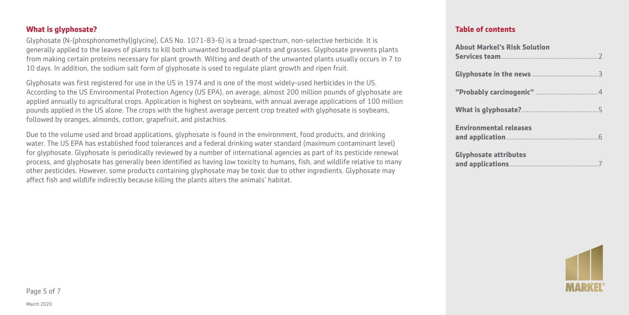#### **What is glyphosate?**

Glyphosate (N-(phosphonomethyl)glycine), CAS No. 1071-83-6) is a broad-spectrum, non-selective herbicide. It is generally applied to the leaves of plants to kill both unwanted broadleaf plants and grasses. Glyphosate prevents plants from making certain proteins necessary for plant growth. Wilting and death of the unwanted plants usually occurs in 7 to 10 days. In addition, the sodium salt form of glyphosate is used to regulate plant growth and ripen fruit.

Glyphosate was first registered for use in the US in 1974 and is one of the most widely-used herbicides in the US. According to the US Environmental Protection Agency (US EPA), on average, almost 200 million pounds of glyphosate are applied annually to agricultural crops. Application is highest on soybeans, with annual average applications of 100 million pounds applied in the US alone. The crops with the highest average percent crop treated with glyphosate is soybeans, followed by oranges, almonds, cotton, grapefruit, and pistachios.

Due to the volume used and broad applications, glyphosate is found in the environment, food products, and drinking water. The US EPA has established food tolerances and a federal drinking water standard (maximum contaminant level) for glyphosate. Glyphosate is periodically reviewed by a number of international agencies as part of its pesticide renewal process, and glyphosate has generally been identified as having low toxicity to humans, fish, and wildlife relative to many other pesticides. However, some products containing glyphosate may be toxic due to other ingredients. Glyphosate may affect fish and wildlife indirectly because killing the plants alters the animals' habitat.

| <b>About Markel's Risk Solution</b> |
|-------------------------------------|
|                                     |
|                                     |
|                                     |
| <b>Environmental releases</b>       |
| <b>Glyphosate attributes</b>        |

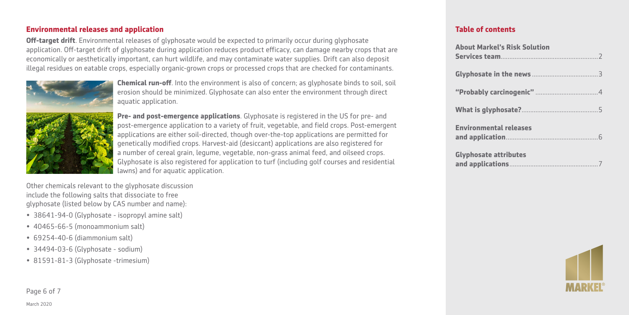#### **Environmental releases and application**

**Off-target drift**. Environmental releases of glyphosate would be expected to primarily occur during glyphosate application. Off-target drift of glyphosate during application reduces product efficacy, can damage nearby crops that are economically or aesthetically important, can hurt wildlife, and may contaminate water supplies. Drift can also deposit illegal residues on eatable crops, especially organic-grown crops or processed crops that are checked for contaminants.



**Chemical run-off**. Into the environment is also of concern; as glyphosate binds to soil, soil erosion should be minimized. Glyphosate can also enter the environment through direct aquatic application.

**Pre- and post-emergence applications**. Glyphosate is registered in the US for pre- and post-emergence application to a variety of fruit, vegetable, and field crops. Post-emergent applications are either soil-directed, though over-the-top applications are permitted for genetically modified crops. Harvest-aid (desiccant) applications are also registered for a number of cereal grain, legume, vegetable, non-grass animal feed, and oilseed crops. Glyphosate is also registered for application to turf (including golf courses and residential lawns) and for aquatic application.

Other chemicals relevant to the glyphosate discussion include the following salts that dissociate to free glyphosate (listed below by CAS number and name):

- 38641-94-0 (Glyphosate isopropyl amine salt)
- 40465-66-5 (monoammonium salt)
- 69254-40-6 (diammonium salt)
- 34494-03-6 (Glyphosate sodium)
- 81591-81-3 (Glyphosate -trimesium)

Page 6 of 7

| <b>About Markel's Risk Solution</b> |  |
|-------------------------------------|--|
|                                     |  |
|                                     |  |
|                                     |  |
| <b>Environmental releases</b>       |  |
| <b>Glyphosate attributes</b>        |  |